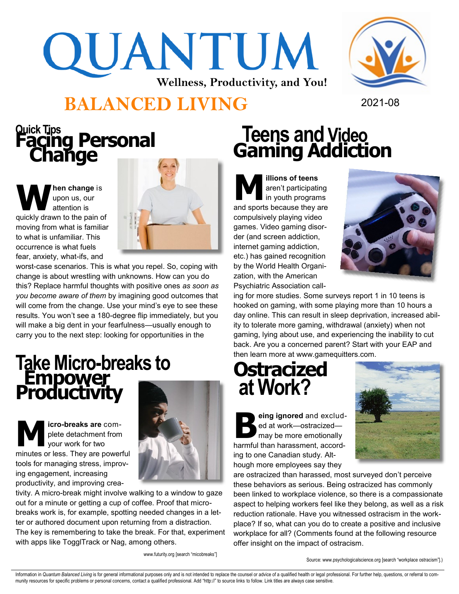# QUANTUM **Wellness, Productivity, and You!**



#### **BALANCED LIVING** 2021-08

### **Quick Tips Facing Personal Change**

**W hen change** is upon us, our attention is quickly drawn to the pain of moving from what is familiar to what is unfamiliar. This occurrence is what fuels fear, anxiety, what-ifs, and



worst-case scenarios. This is what you repel. So, coping with change is about wrestling with unknowns. How can you do this? Replace harmful thoughts with positive ones *as soon as you become aware of them* by imagining good outcomes that will come from the change. Use your mind's eye to see these results. You won't see a 180-degree flip immediately, but you will make a big dent in your fearfulness—usually enough to carry you to the next step: looking for opportunities in the

## **Take Micro-breaks to Empower<br>Productivity**

**M icro-breaks are** complete detachment from your work for two minutes or less. They are powerful tools for managing stress, improving engagement, increasing productivity, and improving crea-



tivity. A micro-break might involve walking to a window to gaze out for a minute or getting a cup of coffee. Proof that microbreaks work is, for example, spotting needed changes in a letter or authored document upon returning from a distraction. The key is remembering to take the break. For that, experiment with apps like TogglTrack or Nag, among others.

www.futurity.org [search "micobreaks"]

#### **Teens and Video Gaming Addiction**

**M illions of teens**  aren't participating in youth programs and sports because they are compulsively playing video games. Video gaming disorder (and screen addiction, internet gaming addiction, etc.) has gained recognition by the World Health Organization, with the American Psychiatric Association call-



ing for more studies. Some surveys report 1 in 10 teens is hooked on gaming, with some playing more than 10 hours a day online. This can result in sleep deprivation, increased ability to tolerate more gaming, withdrawal (anxiety) when not gaming, lying about use, and experiencing the inability to cut back. Are you a concerned parent? Start with your EAP and then learn more at www.gamequitters.com.

#### **Ostracized at Work?**

**B eing ignored** and excluded at work—ostracized may be more emotionally harmful than harassment, according to one Canadian study. Although more employees say they



are ostracized than harassed, most surveyed don't perceive these behaviors as serious. Being ostracized has commonly been linked to workplace violence, so there is a compassionate aspect to helping workers feel like they belong, as well as a risk reduction rationale. Have you witnessed ostracism in the workplace? If so, what can you do to create a positive and inclusive workplace for all? (Comments found at the following resource offer insight on the impact of ostracism.

Source: www.psychologicalscience.org [search "workplace ostracism"].)

Information in Quantum Balanced Living is for general informational purposes only and is not intended to replace the counsel or advice of a qualified health or legal professional. For further help, questions, or referral t munity resources for specific problems or personal concerns, contact a qualified professional. Add "http://" to source links to follow. Link titles are always case sensitive.